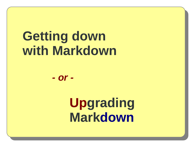# **Getting down with Markdown**

*- or -*

**Upgrading Markdown**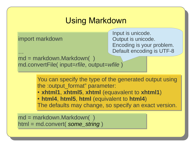## Using Markdown

import markdown import markdown

Input is unicode. Output is unicode. Encoding is your problem. Default encoding is UTF-8

```
\ddot{\phi}…
```

```
md = markdown.Markdown( )
md = markdown.Markdown( )
md.convertFile( input=rfile, output=wfile )
md.convertFile( input=rfile, output=wfile )
```
You can specify the type of the generated output using You can specify the type of the generated output using the :output\_format" parameter: the :output\_format" parameter:

● **xhtml1**, **xhtml5**, **xhtml** (equavalent to **xhtml1**) ● **xhtml1**, **xhtml5**, **xhtml** (equavalent to **xhtml1**)

● **html4**, **html5**, **html** (equivalent to **html4**) ● **html4**, **html5**, **html** (equivalent to **html4**) The defaults may change, so specify an exact version. The defaults may change, so specify an exact version.

md = markdown.Markdown( ) html = md.convert( *some\_string* ) )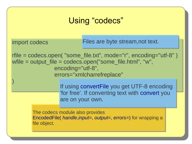## Using "codecs"

import codecs import codecs

) )

Files are byte stream,not text.

rfile = codecs.open( "some\_file.txt", mode="r", encoding="utf-8" ) rfile = codecs.open( "some\_file.txt", mode="r", encoding="utf-8" ) wfile = output\_file = codecs.open("some\_file.html", "w", wfile = output\_file = codecs.open("some\_file.html", "w", encoding="utf-8", encoding="utf-8", errors="xmlcharrefreplace" errors="xmlcharrefreplace"

> If using convertFile you get UTF-8 encoding If using convertFile you get UTF-8 encoding 'for free'. If converting text with convert you 'for free'. If converting text with convert you are on your own. are on your own.

The codecs module also provides The codecs module also provides EncodedFile( *handle*,*input=*, *output=*, *errors=*) for wrapping a EncodedFile( *handle*,*input=*, *output=*, *errors=*) for wrapping a file object. file object.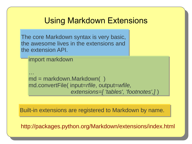#### Using Markdown Extensions

The core Markdown syntax is very basic, the awesome lives in the extensions and the extension API.

```
import markdown
import markdown
```
 $\ddot{\phi}$ md = markdown.Markdown( ) md = markdown.Markdown( ) md.convertFile( input=*rfile*, output=*wfile,*  md.convertFile( input=*rfile*, output=*wfile, extensions=[ 'tables', 'footnotes',]* )  *extensions=[ 'tables', 'footnotes',]* ) …

Built-in extensions are registered to Markdown by name.

http://packages.python.org/Markdown/extensions/index.html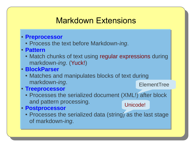## Markdown Extensions

- **Preprocessor Preprocessor**
	- Process the text before Markdown-*ing*. Process the text before Markdown-*ing*.
- **Pattern Pattern**
	- Match chunks of text using regular expressions during markdown-*ing*. (Yuck!) markdown-*ing*. (Yuck!)
- **BlockParser BlockParser**
	- Matches and manipulates blocks of text during markdown-*ing*. markdown-*ing*. **ElementTree**
- **Treeprocessor Treeprocessor**
	- Processes the serialized document (XML!) after block Processes the serialized document (XML!) after block and pattern processing. and pattern processing.
- **Postprocessor Postprocessor**
	- Processes the serialized data (string) as the last stage of markdown-*ing*. of markdown-*ing*.

Unicode!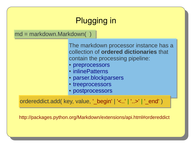

ordereddict.add( key, value, '\_begin' | '<..' | '..>' | '\_end' )

http://packages.python.org/Markdown/extensions/api.html#ordereddict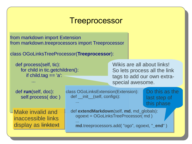#### **Treeprocessor**

from markdown import Extension from markdown import Extension from markdown.treeprocessors import Treeprocessor from markdown.treeprocessors import Treeprocessor

...

```
class OGoLinksTreeProcessor(Treeprocessor):
class OGoLinksTreeProcessor(Treeprocessor):
```

```
 def process(self, tic):
 def process(self, tic):
 for child in tic.getchildren():
 for child in tic.getchildren():
 if child.tag == 'a':
 if child.tag == 'a':
```
Wikis are all about links! So lets process all the link tags to add our own extraspecial awesome.

 def **run**(self, doc): def **run**(self, doc): self.process(doc)

...

...

Make invalid and inaccessible links display as linktext class OGoLinksExtension(Extension): class OGoLinksExtension(Extension): def \_\_init\_\_(self, configs): ...

Do this as the last step of this phase

 def **extendMarkdown**(self, **md**, md\_globals): def **extendMarkdown**(self, **md**, md\_globals): ogoext = OGoLinksTreeProcessor(md) ...

 ... **md**.treeprocessors.add( "ogo", ogoext, "**\_end**" ) **md**.treeprocessors.add( "ogo", ogoext, "**\_end**" )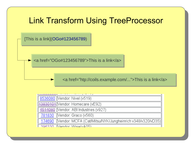## Link Transform Using TreeProcessor

[This is a link](OGo#123456789) )

 $\blacktriangleright$  <a href="OGo#123456789">This is a link</a>

<a href="htp://coils.example.com/...">This is a link</a>

| 8536080 Vendor: Nivel (v519)                                      |
|-------------------------------------------------------------------|
| 43830101 Vendor: Homecare (vE92)                                  |
| 4514080 Vendor: ABI Industries (v927)                             |
| 781830 Vendor: Graco (v560)                                       |
| 174690   Vendor: MCFA (Cat/Mitsu/NYK/Jungheinrich v348/v320/vD35) |
| 306330 Wandor Wise/v405)                                          |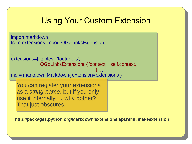## Using Your Custom Extension

import markdown import markdown from extensions import OGoLinksExtension

```
...
extensions=[ 'tables', 'footnotes',
extensions=[ 'tables', 'footnotes',
 OGoLinksExtension( { 'context': self.context,
 OGoLinksExtension( { 'context': self.context,
...
                                                                  … } ), ]
```
. And the contract of the contract of the contract of  $\{1,2,3,4\}$  ,  $\{1,3,4\}$ md = markdown.Markdown( extension=extensions ) md = markdown.Markdown( extension=extensions )

You can register your extensions You can register your extensions as a *string-name*, but if you only as a *string-name*, but if you only use it internally … why bother? use it internally … why bother? That just obscures. That just obscures.

**http://packages.python.org/Markdown/extensions/api.html#makeextension**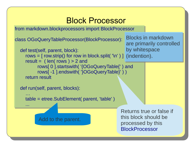#### Block Processor

from markdown.blockprocessors import BlockProcessor from markdown.blockprocessors import BlockProcessor

```
class OGoQueryTableProcessor(BlockProcessor):
class OGoQueryTableProcessor(BlockProcessor):
```

```
 def test(self, parent, block):
 def test(self, parent, block):
rows = [ row.strip() for row in block.split( '\n' ) ] (indention).
r result = (len(rows) > 2 and
 rows[ 0 ].startswith( '{OGoQueryTable{' ) and
 rows[ 0 ].startswith( '{OGoQueryTable{' ) and
 rows[ -1 ].endswith( '}OGoQueryTable}' ) )
 rows[ -1 ].endswith( '}OGoQueryTable}' ) )
return result
                                                                      by whitespace
```
def run(self, parent, blocks): def run(self, parent, blocks):

...

...

 … table = etree.SubElement( parent, 'table' ) table = etree.SubElement( parent, 'table' ) …

Add to the parent.

Returns true or false if this block should be processed by this **BlockProcessor** 

Blocks in markdown

are primarily controlled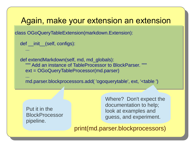#### Again, make your extension an extension

class OGoQueryTableExtension(markdown.Extension): class OGoQueryTableExtension(markdown.Extension):

```
def __init__(self, configs):
```
...

...

```
 def extendMarkdown(self, md, md_globals):
 def extendMarkdown(self, md, md_globals):
EXECUTE: """ Add an instance of TableProcessor to BlockParser. """
 ext = OGoQueryTableProcessor(md.parser)
 ext = OGoQueryTableProcessor(md.parser)
```
 ... md.parser.blockprocessors.add( 'ogoquerytable', ext, '<table ') md.parser.blockprocessors.add( 'ogoquerytable', ext, '<table ') ...

Put it in the BlockProcessor pipeline.

Where? Don't expect the documentation to help; look at examples and guess, and experiment.

print(md.parser.blockprocessors)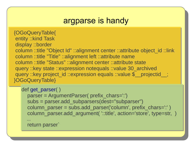#### argparse is handy

 {OGoQueryTable{ {OGoQueryTable{ entity ::kind Task entity ::kind Task display ::border display ::border column ::title "Object Id" ::alignment center ::attribute object\_id ::link column ::title "Object Id" ::alignment center ::attribute object\_id ::link column ::title "Title" ::alignment left ::attribute name column ::title "Title" ::alignment left ::attribute name column ::title "Status" ::alignment center ::attribute state column ::title "Status" ::alignment center ::attribute state query ::key state ::expression notequals ::value 30\_archived query ::key state ::expression notequals ::value 30\_archived query ::key project\_id ::expression equals ::value \$\_\_projectid\_\_; }OGoQueryTable} }OGoQueryTable}

```
def get_parser( )
def get_parser( )
```
 parser = ArgumentParser( prefix\_chars=':') parser = ArgumentParser( prefix\_chars=':') subs = parser.add\_subparsers(dest="subparser") subs = parser.add\_subparsers(dest="subparser") column\_parser = subs.add\_parser('column', prefix\_chars=':' ) column\_parser = subs.add\_parser('column', prefix\_chars=':' ) column\_parser.add\_argument( '::title', action='store', type=str, ) column\_parser.add\_argument( '::title', action='store', type=str, ) ... ...

return parser` return parser`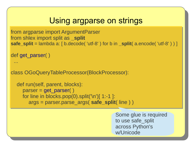## Using argparse on strings

```
from argparse import ArgumentParser
from argparse import ArgumentParser
from shlex import split as _split
from shlex import split as _split
safe_split = lambda a: [ b.decode( 'utf-8' ) for b in _split( a.encode( 'utf-8' ) ) ]
```

```
def get_parser( )
def get_parser( )
```

```
 ...
 ...
```
class OGoQueryTableProcessor(BlockProcessor): class OGoQueryTableProcessor(BlockProcessor):

```
 def run(self, parent, blocks):
 def run(self, parent, blocks):
 parser = get_parser( )
 parser = get_parser( )
 for line in blocks.pop(0).split('\n')[ 1:-1 ]:
 for line in blocks.pop(0).split('\n')[ 1:-1 ]:
 args = parser.parse_args( safe_split( line ) )
 args = parser.parse_args( safe_split( line ) )
```
Some glue is required to use safe\_split across Python's w/Unicode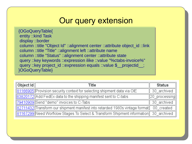#### Our query extension

 {OGoQueryTable{ {OGoQueryTable{ entity ::kind Task entity ::kind Task display ::border display ::border column ::title "Object Id" ::alignment center ::attribute object\_id ::link column ::title "Object Id" ::alignment center ::attribute object\_id ::link column ::title "Title" ::alignment left ::attribute name column ::title "Title" ::alignment left ::attribute name column ::title "Status" ::alignment center ::attribute state column ::title "Status" ::alignment center ::attribute state query ::key keywords ::expression ilike ::value "%ctabs-invoice%" query ::key keywords ::expression ilike ::value "%ctabs-invoice%" query :: key project\_id ::expression equals :: value \$\_\_projectid\_\_; }OGoQueryTable} }OGoQueryTable}

| $\vert$ Object Id $\vert$ | Title                                                                                  | Status              |
|---------------------------|----------------------------------------------------------------------------------------|---------------------|
|                           | 81166905 Provision security context for selecting shipment data via OIE                | 30 archived         |
|                           | 83820172 Add FedEx data to the shipping manifest sent to C-tabs                        | $\ 20\>$ processing |
|                           | 79410909 Send "demo" invoices to C-Tabs                                                | 30 archived         |
|                           | 82711432 Transform our shipment manifest into retarded 1980s vintage format 00_created |                     |
|                           | 81167299 Need Worfklow Stages To Select & Transform Shipment information 30_archived   |                     |